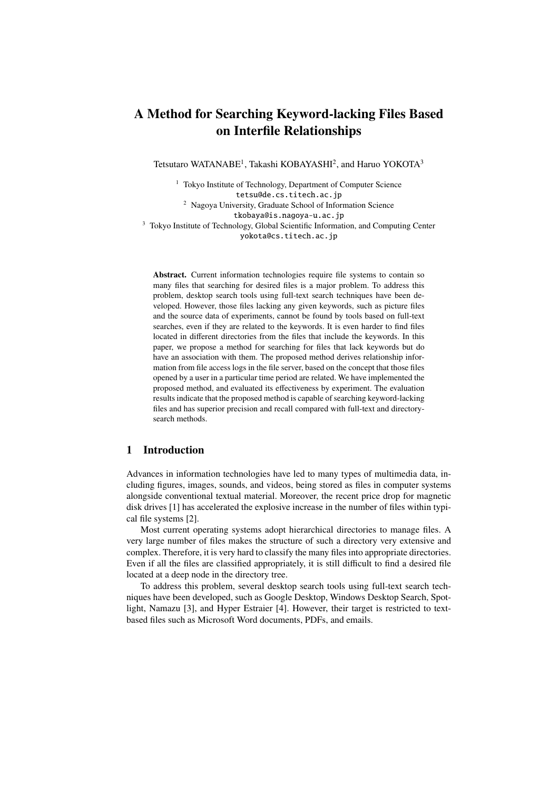# A Method for Searching Keyword-lacking Files Based on Interfile Relationships

Tetsutaro WATANABE<sup>1</sup>, Takashi KOBAYASHI<sup>2</sup>, and Haruo YOKOTA<sup>3</sup>

<sup>1</sup> Tokyo Institute of Technology, Department of Computer Science tetsu@de.cs.titech.ac.jp <sup>2</sup> Nagoya University, Graduate School of Information Science tkobaya@is.nagoya-u.ac.jp <sup>3</sup> Tokyo Institute of Technology, Global Scientific Information, and Computing Center yokota@cs.titech.ac.jp

Abstract. Current information technologies require file systems to contain so many files that searching for desired files is a major problem. To address this problem, desktop search tools using full-text search techniques have been developed. However, those files lacking any given keywords, such as picture files and the source data of experiments, cannot be found by tools based on full-text searches, even if they are related to the keywords. It is even harder to find files located in different directories from the files that include the keywords. In this paper, we propose a method for searching for files that lack keywords but do have an association with them. The proposed method derives relationship information from file access logs in the file server, based on the concept that those files opened by a user in a particular time period are related. We have implemented the proposed method, and evaluated its effectiveness by experiment. The evaluation results indicate that the proposed method is capable of searching keyword-lacking files and has superior precision and recall compared with full-text and directorysearch methods.

# 1 Introduction

Advances in information technologies have led to many types of multimedia data, including figures, images, sounds, and videos, being stored as files in computer systems alongside conventional textual material. Moreover, the recent price drop for magnetic disk drives [1] has accelerated the explosive increase in the number of files within typical file systems [2].

Most current operating systems adopt hierarchical directories to manage files. A very large number of files makes the structure of such a directory very extensive and complex. Therefore, it is very hard to classify the many files into appropriate directories. Even if all the files are classified appropriately, it is still difficult to find a desired file located at a deep node in the directory tree.

To address this problem, several desktop search tools using full-text search techniques have been developed, such as Google Desktop, Windows Desktop Search, Spotlight, Namazu [3], and Hyper Estraier [4]. However, their target is restricted to textbased files such as Microsoft Word documents, PDFs, and emails.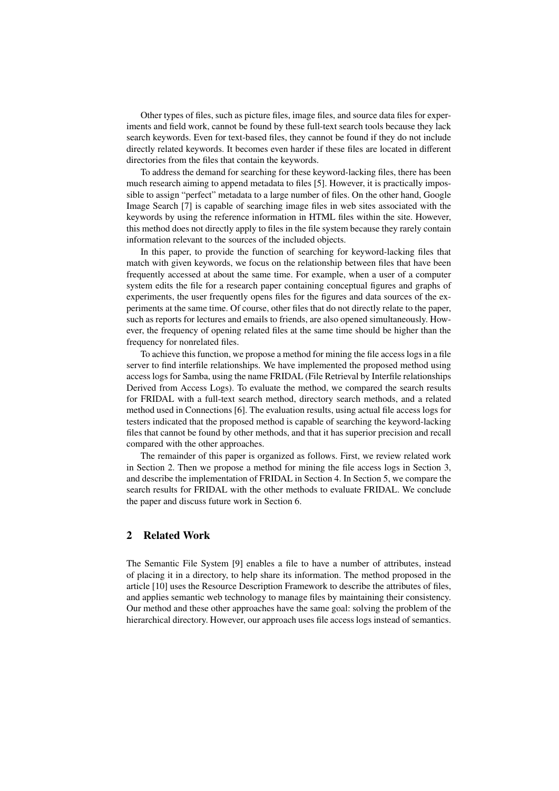Other types of files, such as picture files, image files, and source data files for experiments and field work, cannot be found by these full-text search tools because they lack search keywords. Even for text-based files, they cannot be found if they do not include directly related keywords. It becomes even harder if these files are located in different directories from the files that contain the keywords.

To address the demand for searching for these keyword-lacking files, there has been much research aiming to append metadata to files [5]. However, it is practically impossible to assign "perfect" metadata to a large number of files. On the other hand, Google Image Search [7] is capable of searching image files in web sites associated with the keywords by using the reference information in HTML files within the site. However, this method does not directly apply to files in the file system because they rarely contain information relevant to the sources of the included objects.

In this paper, to provide the function of searching for keyword-lacking files that match with given keywords, we focus on the relationship between files that have been frequently accessed at about the same time. For example, when a user of a computer system edits the file for a research paper containing conceptual figures and graphs of experiments, the user frequently opens files for the figures and data sources of the experiments at the same time. Of course, other files that do not directly relate to the paper, such as reports for lectures and emails to friends, are also opened simultaneously. However, the frequency of opening related files at the same time should be higher than the frequency for nonrelated files.

To achieve this function, we propose a method for mining the file access logs in a file server to find interfile relationships. We have implemented the proposed method using access logs for Samba, using the name FRIDAL (File Retrieval by Interfile relationships Derived from Access Logs). To evaluate the method, we compared the search results for FRIDAL with a full-text search method, directory search methods, and a related method used in Connections [6]. The evaluation results, using actual file access logs for testers indicated that the proposed method is capable of searching the keyword-lacking files that cannot be found by other methods, and that it has superior precision and recall compared with the other approaches.

The remainder of this paper is organized as follows. First, we review related work in Section 2. Then we propose a method for mining the file access logs in Section 3, and describe the implementation of FRIDAL in Section 4. In Section 5, we compare the search results for FRIDAL with the other methods to evaluate FRIDAL. We conclude the paper and discuss future work in Section 6.

# 2 Related Work

The Semantic File System [9] enables a file to have a number of attributes, instead of placing it in a directory, to help share its information. The method proposed in the article [10] uses the Resource Description Framework to describe the attributes of files, and applies semantic web technology to manage files by maintaining their consistency. Our method and these other approaches have the same goal: solving the problem of the hierarchical directory. However, our approach uses file access logs instead of semantics.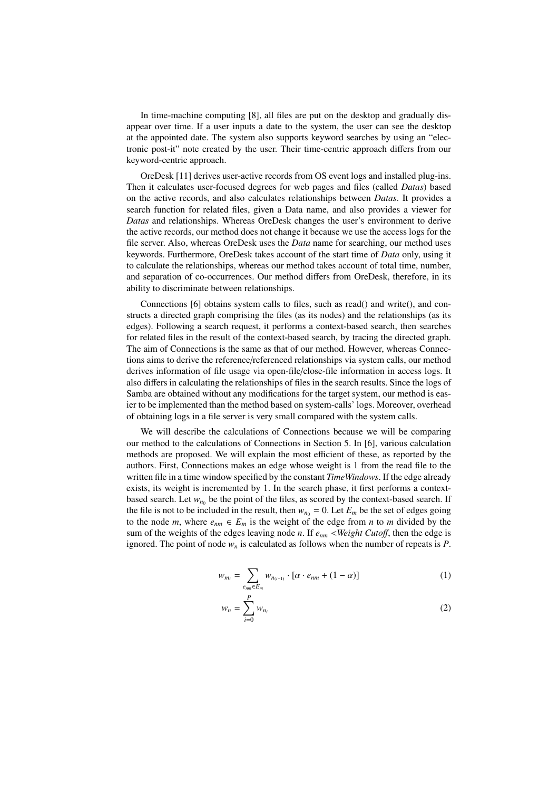In time-machine computing [8], all files are put on the desktop and gradually disappear over time. If a user inputs a date to the system, the user can see the desktop at the appointed date. The system also supports keyword searches by using an "electronic post-it" note created by the user. Their time-centric approach differs from our keyword-centric approach.

OreDesk [11] derives user-active records from OS event logs and installed plug-ins. Then it calculates user-focused degrees for web pages and files (called *Datas*) based on the active records, and also calculates relationships between *Datas*. It provides a search function for related files, given a Data name, and also provides a viewer for *Datas* and relationships. Whereas OreDesk changes the user's environment to derive the active records, our method does not change it because we use the access logs for the file server. Also, whereas OreDesk uses the *Data* name for searching, our method uses keywords. Furthermore, OreDesk takes account of the start time of *Data* only, using it to calculate the relationships, whereas our method takes account of total time, number, and separation of co-occurrences. Our method differs from OreDesk, therefore, in its ability to discriminate between relationships.

Connections [6] obtains system calls to files, such as read() and write(), and constructs a directed graph comprising the files (as its nodes) and the relationships (as its edges). Following a search request, it performs a context-based search, then searches for related files in the result of the context-based search, by tracing the directed graph. The aim of Connections is the same as that of our method. However, whereas Connections aims to derive the reference/referenced relationships via system calls, our method derives information of file usage via open-file/close-file information in access logs. It also differs in calculating the relationships of files in the search results. Since the logs of Samba are obtained without any modifications for the target system, our method is easier to be implemented than the method based on system-calls' logs. Moreover, overhead of obtaining logs in a file server is very small compared with the system calls.

We will describe the calculations of Connections because we will be comparing our method to the calculations of Connections in Section 5. In [6], various calculation methods are proposed. We will explain the most efficient of these, as reported by the authors. First, Connections makes an edge whose weight is 1 from the read file to the written file in a time window specified by the constant *TimeWindows*. If the edge already exists, its weight is incremented by 1. In the search phase, it first performs a contextbased search. Let  $w_{n_0}$  be the point of the files, as scored by the context-based search. If the file is not to be included in the result, then  $w_{n_0} = 0$ . Let  $E_m$  be the set of edges going to the node *m*, where  $e_{nm} \in E_m$  is the weight of the edge from *n* to *m* divided by the sum of the weights of the edges leaving node *n*. If *enm* <*Weight Cuto*ff, then the edge is ignored. The point of node *w<sup>n</sup>* is calculated as follows when the number of repeats is *P*.

$$
w_{m_i} = \sum_{e_{nm} \in E_m} w_{n_{(i-1)}} \cdot [\alpha \cdot e_{nm} + (1 - \alpha)] \tag{1}
$$

$$
w_n = \sum_{i=0}^P w_{n_i} \tag{2}
$$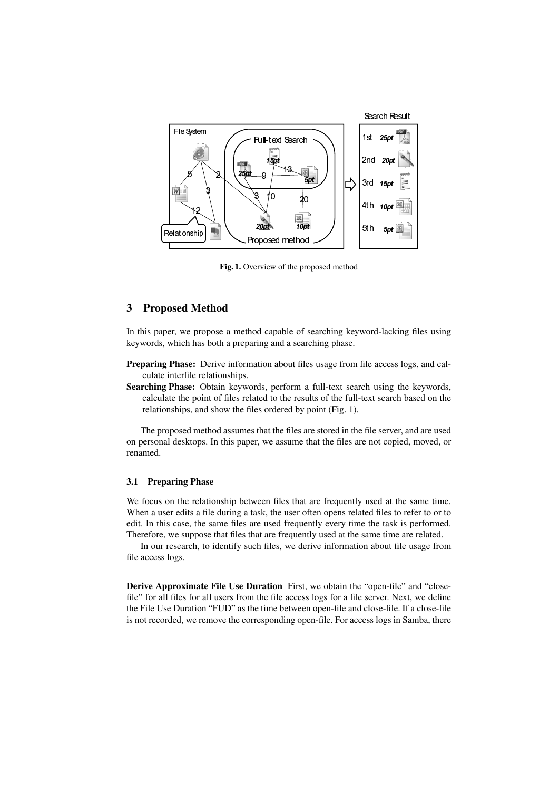

Fig. 1. Overview of the proposed method

# 3 Proposed Method

In this paper, we propose a method capable of searching keyword-lacking files using keywords, which has both a preparing and a searching phase.

- Preparing Phase: Derive information about files usage from file access logs, and calculate interfile relationships.
- Searching Phase: Obtain keywords, perform a full-text search using the keywords, calculate the point of files related to the results of the full-text search based on the relationships, and show the files ordered by point (Fig. 1).

The proposed method assumes that the files are stored in the file server, and are used on personal desktops. In this paper, we assume that the files are not copied, moved, or renamed.

#### 3.1 Preparing Phase

We focus on the relationship between files that are frequently used at the same time. When a user edits a file during a task, the user often opens related files to refer to or to edit. In this case, the same files are used frequently every time the task is performed. Therefore, we suppose that files that are frequently used at the same time are related.

In our research, to identify such files, we derive information about file usage from file access logs.

Derive Approximate File Use Duration First, we obtain the "open-file" and "closefile" for all files for all users from the file access logs for a file server. Next, we define the File Use Duration "FUD" as the time between open-file and close-file. If a close-file is not recorded, we remove the corresponding open-file. For access logs in Samba, there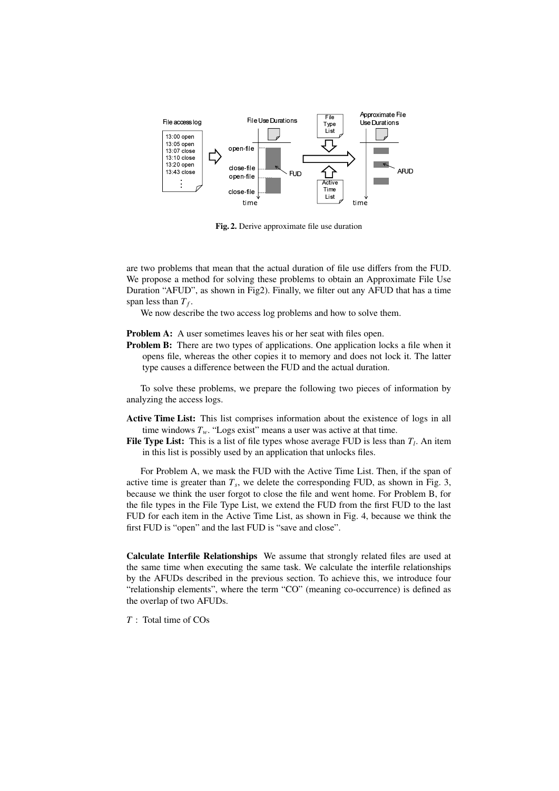

Fig. 2. Derive approximate file use duration

are two problems that mean that the actual duration of file use differs from the FUD. We propose a method for solving these problems to obtain an Approximate File Use Duration "AFUD", as shown in Fig2). Finally, we filter out any AFUD that has a time span less than  $T_f$ .

We now describe the two access log problems and how to solve them.

Problem A: A user sometimes leaves his or her seat with files open.

**Problem B:** There are two types of applications. One application locks a file when it opens file, whereas the other copies it to memory and does not lock it. The latter type causes a difference between the FUD and the actual duration.

To solve these problems, we prepare the following two pieces of information by analyzing the access logs.

- Active Time List: This list comprises information about the existence of logs in all time windows  $T_w$ . "Logs exist" means a user was active at that time.
- File Type List: This is a list of file types whose average FUD is less than *T<sup>l</sup>* . An item in this list is possibly used by an application that unlocks files.

For Problem A, we mask the FUD with the Active Time List. Then, if the span of active time is greater than *T<sup>s</sup>* , we delete the corresponding FUD, as shown in Fig. 3, because we think the user forgot to close the file and went home. For Problem B, for the file types in the File Type List, we extend the FUD from the first FUD to the last FUD for each item in the Active Time List, as shown in Fig. 4, because we think the first FUD is "open" and the last FUD is "save and close".

Calculate Interfile Relationships We assume that strongly related files are used at the same time when executing the same task. We calculate the interfile relationships by the AFUDs described in the previous section. To achieve this, we introduce four "relationship elements", where the term "CO" (meaning co-occurrence) is defined as the overlap of two AFUDs.

*T* : Total time of COs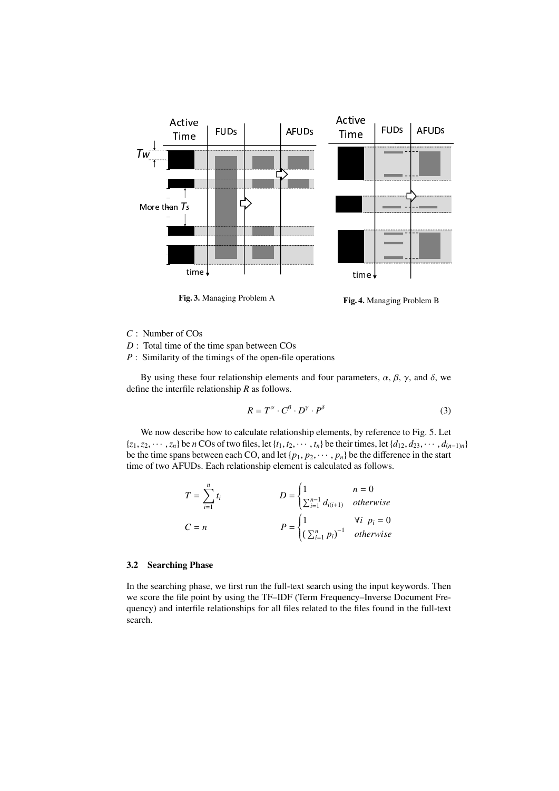

Fig. 3. Managing Problem A

Fig. 4. Managing Problem B

- *C* : Number of COs
- *D* : Total time of the time span between COs
- *P* : Similarity of the timings of the open-file operations

By using these four relationship elements and four parameters,  $\alpha$ ,  $\beta$ ,  $\gamma$ , and  $\delta$ , we define the interfile relationship *R* as follows.

$$
R = T^{\alpha} \cdot C^{\beta} \cdot D^{\gamma} \cdot P^{\delta} \tag{3}
$$

We now describe how to calculate relationship elements, by reference to Fig. 5. Let {*z*<sub>1</sub>,*z*<sub>2</sub>, ⋅ ⋅ · , *z*<sub>*n*</sub>} be *n* COs of two files, let {*t*<sub>1</sub>,*t*<sub>2</sub>, ⋅ ⋅ · , *t*<sub>*n*</sub>} be their times, let {*d*<sub>12</sub>, *d*<sub>23</sub>, ⋅ ⋅ · , *d*<sub>(*n*−1)*n*</sub>} be the time spans between each CO, and let  $\{p_1, p_2, \dots, p_n\}$  be the difference in the start time of two AFUDs. Each relationship element is calculated as follows.

$$
T = \sum_{i=1}^{n} t_i
$$
  
\n
$$
D = \begin{cases} 1 & n = 0 \\ \sum_{i=1}^{n-1} d_{i(i+1)} & otherwise \end{cases}
$$
  
\n
$$
C = n
$$
  
\n
$$
P = \begin{cases} 1 & \forall i \ p_i = 0 \\ (\sum_{i=1}^{n} p_i)^{-1} & otherwise \end{cases}
$$

## 3.2 Searching Phase

In the searching phase, we first run the full-text search using the input keywords. Then we score the file point by using the TF–IDF (Term Frequency–Inverse Document Frequency) and interfile relationships for all files related to the files found in the full-text search.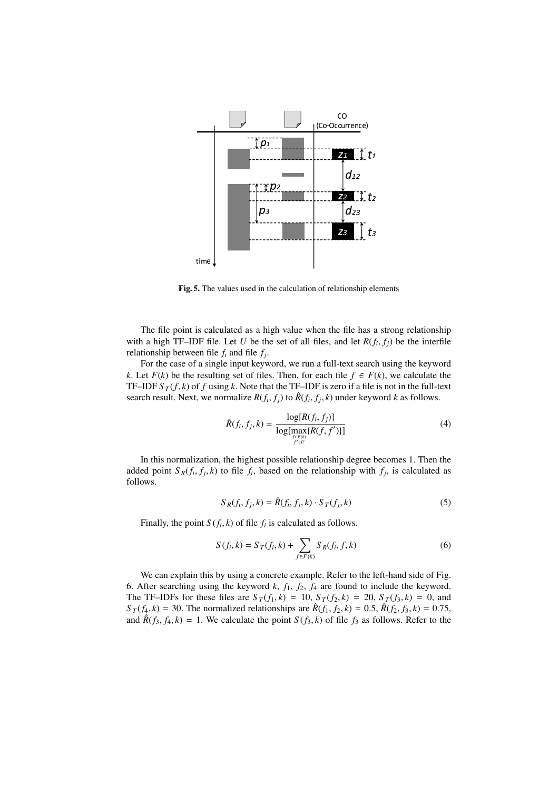

Fig. 5. The values used in the calculation of relationship elements

The file point is calculated as a high value when the file has a strong relationship with a high TF–IDF file. Let *U* be the set of all files, and let  $R(f_i, f_j)$  be the interfile relationship between file *f<sup>i</sup>* and file *f<sup>j</sup>* .

For the case of a single input keyword, we run a full-text search using the keyword *k*. Let  $F(k)$  be the resulting set of files. Then, for each file  $f \in F(k)$ , we calculate the TF–IDF  $S_T(f, k)$  of f using k. Note that the TF–IDF is zero if a file is not in the full-text search result. Next, we normalize  $R(f_i, f_j)$  to  $\hat{R}(f_i, f_j, k)$  under keyword *k* as follows.

$$
\hat{R}(f_i, f_j, k) = \frac{\log[R(f_i, f_j)]}{\log[\max_{f \in F(k)} \{R(f, f')\}]}
$$
(4)

In this normalization, the highest possible relationship degree becomes 1. Then the added point  $S_R(f_i, f_j, k)$  to file  $f_i$ , based on the relationship with  $f_j$ , is calculated as follows.

$$
S_R(f_i, f_j, k) = \hat{R}(f_i, f_j, k) \cdot S_T(f_j, k)
$$
\n
$$
(5)
$$

Finally, the point  $S(f_i, k)$  of file  $f_i$  is calculated as follows.

$$
S(f_i, k) = S_T(f_i, k) + \sum_{f \in F(k)} S_R(f_i, f, k)
$$
 (6)

We can explain this by using a concrete example. Refer to the left-hand side of Fig. 6. After searching using the keyword  $k$ ,  $f_1$ ,  $f_2$ ,  $f_4$  are found to include the keyword. The TF–IDFs for these files are  $S_T(f_1, k) = 10$ ,  $S_T(f_2, k) = 20$ ,  $S_T(f_3, k) = 0$ , and *S*  $_T(f_4, k) = 30$ . The normalized relationships are  $\hat{R}(f_1, f_2, k) = 0.5$ ,  $\hat{R}(f_2, f_3, k) = 0.75$ , and  $\hat{R}(f_3, f_4, k) = 1$ . We calculate the point  $S(f_3, k)$  of file  $f_3$  as follows. Refer to the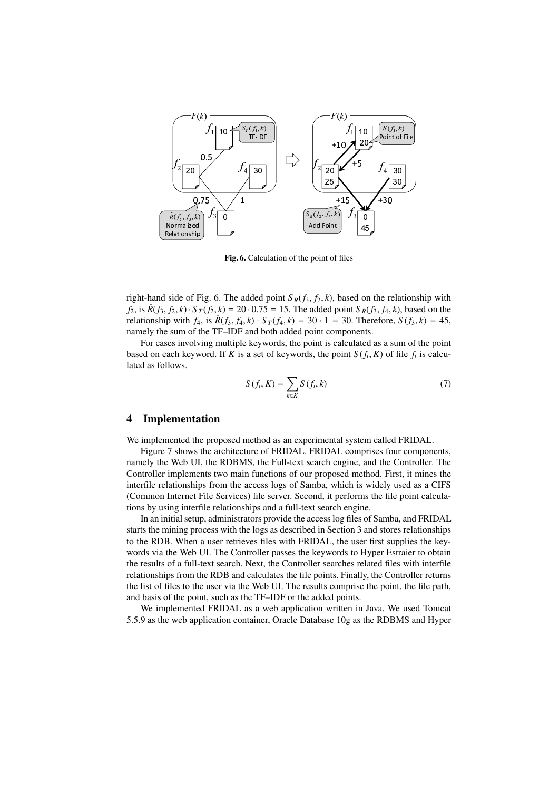

Fig. 6. Calculation of the point of files

right-hand side of Fig. 6. The added point  $S_R(f_3, f_2, k)$ , based on the relationship with *f*<sub>2</sub>, is  $\hat{R}(f_3, f_2, k) \cdot S_T(f_2, k) = 20 \cdot 0.75 = 15$ . The added point  $S_R(f_3, f_4, k)$ , based on the relationship with  $f_4$ , is  $\hat{R}(f_3, f_4, k) \cdot S_T(f_4, k) = 30 \cdot 1 = 30$ . Therefore,  $S(f_3, k) = 45$ , namely the sum of the TF–IDF and both added point components.

For cases involving multiple keywords, the point is calculated as a sum of the point based on each keyword. If *K* is a set of keywords, the point  $S(f_i, K)$  of file  $f_i$  is calculated as follows.

$$
S(f_i, K) = \sum_{k \in K} S(f_i, k)
$$
\n(7)

## 4 Implementation

We implemented the proposed method as an experimental system called FRIDAL.

Figure 7 shows the architecture of FRIDAL. FRIDAL comprises four components, namely the Web UI, the RDBMS, the Full-text search engine, and the Controller. The Controller implements two main functions of our proposed method. First, it mines the interfile relationships from the access logs of Samba, which is widely used as a CIFS (Common Internet File Services) file server. Second, it performs the file point calculations by using interfile relationships and a full-text search engine.

In an initial setup, administrators provide the access log files of Samba, and FRIDAL starts the mining process with the logs as described in Section 3 and stores relationships to the RDB. When a user retrieves files with FRIDAL, the user first supplies the keywords via the Web UI. The Controller passes the keywords to Hyper Estraier to obtain the results of a full-text search. Next, the Controller searches related files with interfile relationships from the RDB and calculates the file points. Finally, the Controller returns the list of files to the user via the Web UI. The results comprise the point, the file path, and basis of the point, such as the TF–IDF or the added points.

We implemented FRIDAL as a web application written in Java. We used Tomcat 5.5.9 as the web application container, Oracle Database 10g as the RDBMS and Hyper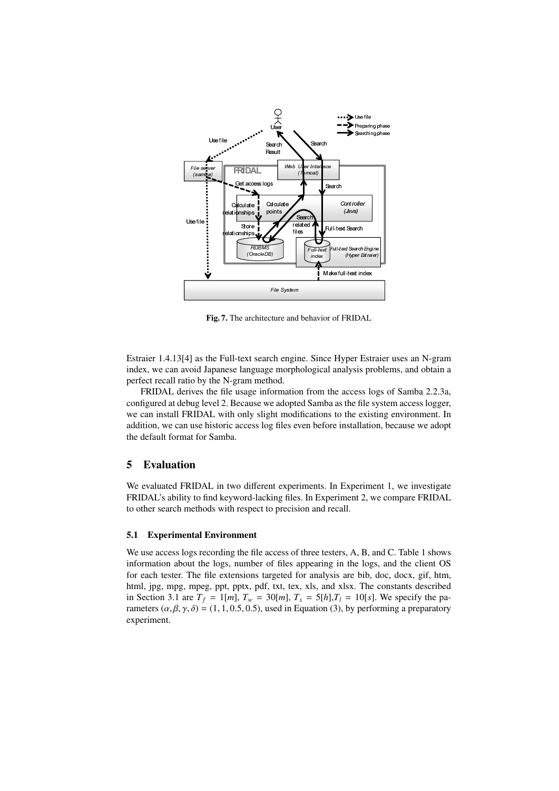

Fig. 7. The architecture and behavior of FRIDAL

Estraier 1.4.13[4] as the Full-text search engine. Since Hyper Estraier uses an N-gram index, we can avoid Japanese language morphological analysis problems, and obtain a perfect recall ratio by the N-gram method.

FRIDAL derives the file usage information from the access logs of Samba 2.2.3a, configured at debug level 2. Because we adopted Samba as the file system access logger, we can install FRIDAL with only slight modifications to the existing environment. In addition, we can use historic access log files even before installation, because we adopt the default format for Samba.

## 5 Evaluation

We evaluated FRIDAL in two different experiments. In Experiment 1, we investigate FRIDAL's ability to find keyword-lacking files. In Experiment 2, we compare FRIDAL to other search methods with respect to precision and recall.

#### 5.1 Experimental Environment

We use access logs recording the file access of three testers, A, B, and C. Table 1 shows information about the logs, number of files appearing in the logs, and the client OS for each tester. The file extensions targeted for analysis are bib, doc, docx, gif, htm, html, jpg, mpg, mpeg, ppt, pptx, pdf, txt, tex, xls, and xlsx. The constants described in Section 3.1 are  $T_f = 1[m]$ ,  $T_w = 30[m]$ ,  $T_s = 5[h]$ ,  $T_l = 10[s]$ . We specify the parameters  $(\alpha, \beta, \gamma, \delta) = (1, 1, 0.5, 0.5)$ , used in Equation (3), by performing a preparatory experiment.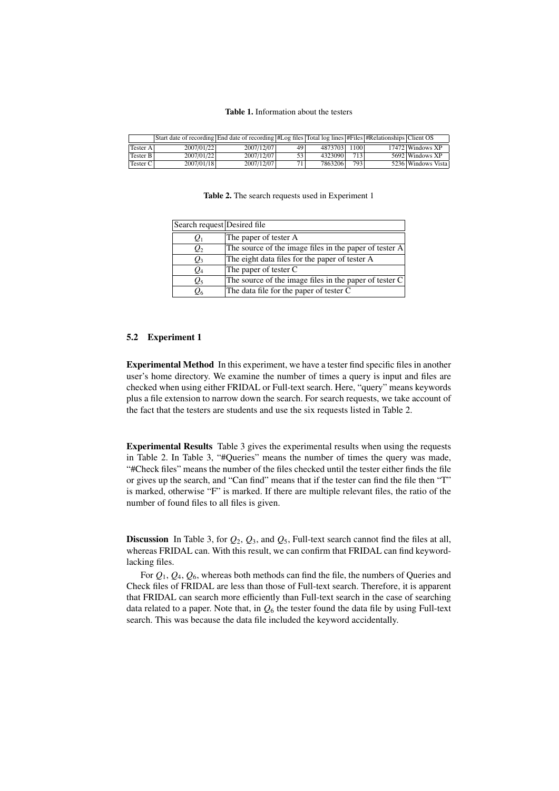#### Table 1. Information about the testers

|           | Start date of recording End date of recording #Log files   Total log lines   #Files   #Relationships   Client OS |            |     |         |      |                    |
|-----------|------------------------------------------------------------------------------------------------------------------|------------|-----|---------|------|--------------------|
| Tester A  | 2007/01/22                                                                                                       | 2007/12/07 | 49' | 4873703 | 1100 | 17472 Windows XP   |
| Tester B  | 2007/01/22                                                                                                       | 2007/12/07 | 53  | 4323090 | 713  | 5692 Windows XP    |
| 'Tester C | 2007/01/18                                                                                                       | 2007/12/07 | 71  | 7863206 | 7931 | 5236 Windows Vista |

Table 2. The search requests used in Experiment 1

| Search request Desired file |                                                          |
|-----------------------------|----------------------------------------------------------|
| $\mathcal{Q}_1$             | The paper of tester A                                    |
| $\mathcal{Q}_2$             | The source of the image files in the paper of tester A   |
| Q3                          | The eight data files for the paper of tester A           |
| $Q_4$                       | The paper of tester C                                    |
| Q,                          | The source of the image files in the paper of tester $C$ |
| IJκ                         | The data file for the paper of tester C                  |

### 5.2 Experiment 1

Experimental Method In this experiment, we have a tester find specific files in another user's home directory. We examine the number of times a query is input and files are checked when using either FRIDAL or Full-text search. Here, "query" means keywords plus a file extension to narrow down the search. For search requests, we take account of the fact that the testers are students and use the six requests listed in Table 2.

Experimental Results Table 3 gives the experimental results when using the requests in Table 2. In Table 3, "#Queries" means the number of times the query was made, "#Check files" means the number of the files checked until the tester either finds the file or gives up the search, and "Can find" means that if the tester can find the file then "T" is marked, otherwise "F" is marked. If there are multiple relevant files, the ratio of the number of found files to all files is given.

Discussion In Table 3, for *Q*2, *Q*3, and *Q*5, Full-text search cannot find the files at all, whereas FRIDAL can. With this result, we can confirm that FRIDAL can find keywordlacking files.

For *Q*1, *Q*4, *Q*6, whereas both methods can find the file, the numbers of Queries and Check files of FRIDAL are less than those of Full-text search. Therefore, it is apparent that FRIDAL can search more efficiently than Full-text search in the case of searching data related to a paper. Note that, in  $Q_6$  the tester found the data file by using Full-text search. This was because the data file included the keyword accidentally.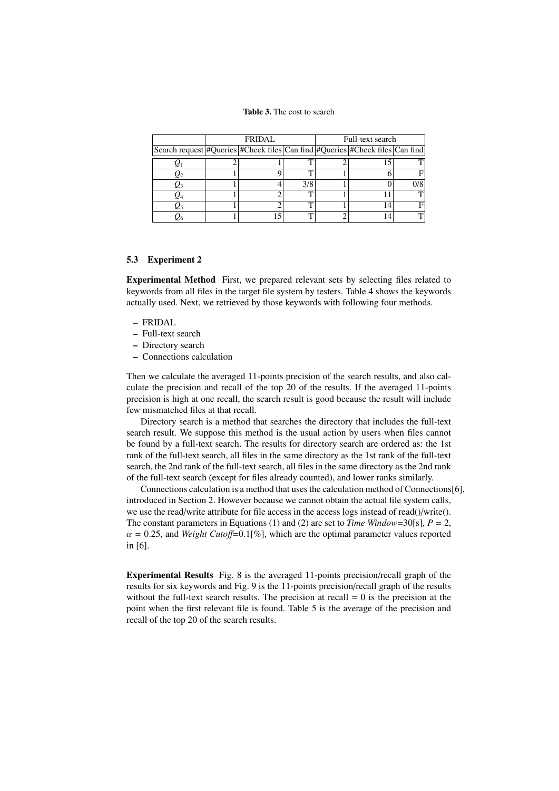#### Table 3. The cost to search

|                                                                              | <b>FRIDAL</b> |   |  | Full-text search |    |  |
|------------------------------------------------------------------------------|---------------|---|--|------------------|----|--|
| Search request #Queries #Check files Can find #Queries #Check files Can find |               |   |  |                  |    |  |
|                                                                              |               |   |  |                  | ᠇᠇ |  |
| $\mathcal{Q}_2$                                                              |               |   |  |                  | F  |  |
| ŽЗ                                                                           |               |   |  |                  |    |  |
| Ų4                                                                           |               |   |  |                  |    |  |
| Ų5                                                                           |               | Ē |  |                  |    |  |
|                                                                              |               |   |  |                  |    |  |

#### 5.3 Experiment 2

Experimental Method First, we prepared relevant sets by selecting files related to keywords from all files in the target file system by testers. Table 4 shows the keywords actually used. Next, we retrieved by those keywords with following four methods.

- FRIDAL
- Full-text search
- Directory search
- Connections calculation

Then we calculate the averaged 11-points precision of the search results, and also calculate the precision and recall of the top 20 of the results. If the averaged 11-points precision is high at one recall, the search result is good because the result will include few mismatched files at that recall.

Directory search is a method that searches the directory that includes the full-text search result. We suppose this method is the usual action by users when files cannot be found by a full-text search. The results for directory search are ordered as: the 1st rank of the full-text search, all files in the same directory as the 1st rank of the full-text search, the 2nd rank of the full-text search, all files in the same directory as the 2nd rank of the full-text search (except for files already counted), and lower ranks similarly.

Connections calculation is a method that uses the calculation method of Connections[6], introduced in Section 2. However because we cannot obtain the actual file system calls, we use the read/write attribute for file access in the access logs instead of read()/write(). The constant parameters in Equations (1) and (2) are set to *Time Window*=30[s],  $P = 2$ ,  $\alpha = 0.25$ , and *Weight Cutoff*=0.1[%], which are the optimal parameter values reported in [6].

Experimental Results Fig. 8 is the averaged 11-points precision/recall graph of the results for six keywords and Fig. 9 is the 11-points precision/recall graph of the results without the full-text search results. The precision at recall  $= 0$  is the precision at the point when the first relevant file is found. Table 5 is the average of the precision and recall of the top 20 of the search results.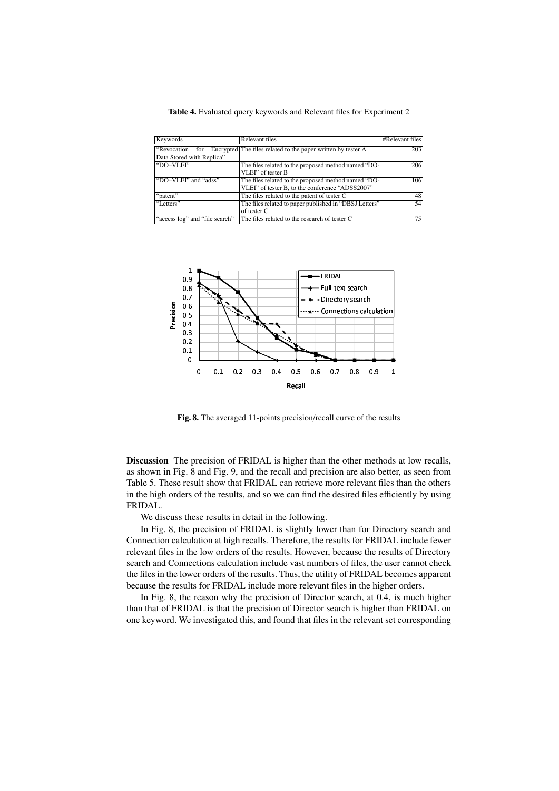| Keywords                       | Relevant files                                                   | #Relevant files |
|--------------------------------|------------------------------------------------------------------|-----------------|
| "Revocation"                   | for Encrypted The files related to the paper written by tester A | 203             |
| Data Stored with Replica"      |                                                                  |                 |
| "DO-VLEI"                      | The files related to the proposed method named "DO-              | 206             |
|                                | VLEI" of tester B                                                |                 |
| "DO-VLEI" and "adss"           | The files related to the proposed method named "DO-              | 106             |
|                                | VLEI" of tester B, to the conference "ADSS2007"                  |                 |
| "patent"                       | The files related to the patent of tester C                      | 48              |
| "Letters"                      | The files related to paper published in "DBSJ Letters"           | 54              |
|                                | of tester C                                                      |                 |
| "access log" and "file search" | The files related to the research of tester C                    | 75              |

Table 4. Evaluated query keywords and Relevant files for Experiment 2



Fig. 8. The averaged 11-points precision/recall curve of the results

Discussion The precision of FRIDAL is higher than the other methods at low recalls, as shown in Fig. 8 and Fig. 9, and the recall and precision are also better, as seen from Table 5. These result show that FRIDAL can retrieve more relevant files than the others in the high orders of the results, and so we can find the desired files efficiently by using FRIDAL.

We discuss these results in detail in the following.

In Fig. 8, the precision of FRIDAL is slightly lower than for Directory search and Connection calculation at high recalls. Therefore, the results for FRIDAL include fewer relevant files in the low orders of the results. However, because the results of Directory search and Connections calculation include vast numbers of files, the user cannot check the files in the lower orders of the results. Thus, the utility of FRIDAL becomes apparent because the results for FRIDAL include more relevant files in the higher orders.

In Fig. 8, the reason why the precision of Director search, at 0.4, is much higher than that of FRIDAL is that the precision of Director search is higher than FRIDAL on one keyword. We investigated this, and found that files in the relevant set corresponding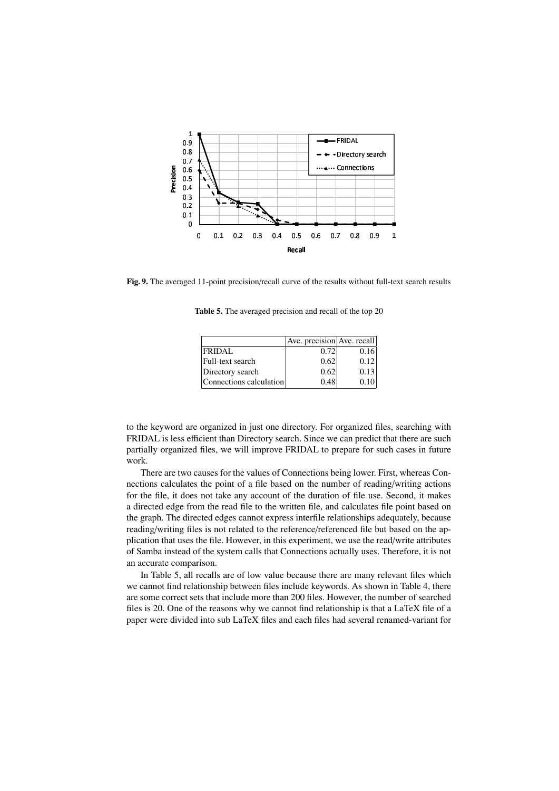

Fig. 9. The averaged 11-point precision/recall curve of the results without full-text search results

Table 5. The averaged precision and recall of the top 20

|                         | Ave. precision Ave. recall |      |
|-------------------------|----------------------------|------|
| <b>FRIDAL</b>           | 0.72                       | 0.16 |
| Full-text search        | 0.62                       | 0.12 |
| Directory search        | 0.62                       | 0.13 |
| Connections calculation | 0.48                       | 0.10 |

to the keyword are organized in just one directory. For organized files, searching with FRIDAL is less efficient than Directory search. Since we can predict that there are such partially organized files, we will improve FRIDAL to prepare for such cases in future work.

There are two causes for the values of Connections being lower. First, whereas Connections calculates the point of a file based on the number of reading/writing actions for the file, it does not take any account of the duration of file use. Second, it makes a directed edge from the read file to the written file, and calculates file point based on the graph. The directed edges cannot express interfile relationships adequately, because reading/writing files is not related to the reference/referenced file but based on the application that uses the file. However, in this experiment, we use the read/write attributes of Samba instead of the system calls that Connections actually uses. Therefore, it is not an accurate comparison.

In Table 5, all recalls are of low value because there are many relevant files which we cannot find relationship between files include keywords. As shown in Table 4, there are some correct sets that include more than 200 files. However, the number of searched files is 20. One of the reasons why we cannot find relationship is that a LaTeX file of a paper were divided into sub LaTeX files and each files had several renamed-variant for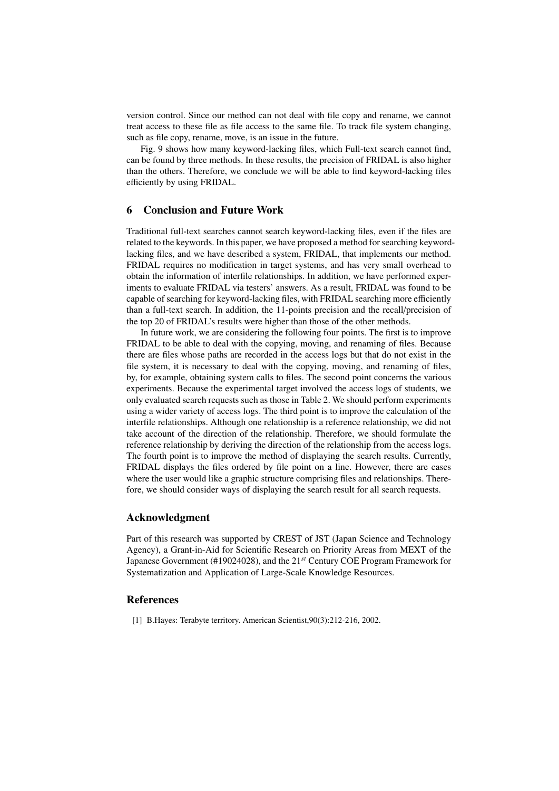version control. Since our method can not deal with file copy and rename, we cannot treat access to these file as file access to the same file. To track file system changing, such as file copy, rename, move, is an issue in the future.

Fig. 9 shows how many keyword-lacking files, which Full-text search cannot find, can be found by three methods. In these results, the precision of FRIDAL is also higher than the others. Therefore, we conclude we will be able to find keyword-lacking files efficiently by using FRIDAL.

## 6 Conclusion and Future Work

Traditional full-text searches cannot search keyword-lacking files, even if the files are related to the keywords. In this paper, we have proposed a method for searching keywordlacking files, and we have described a system, FRIDAL, that implements our method. FRIDAL requires no modification in target systems, and has very small overhead to obtain the information of interfile relationships. In addition, we have performed experiments to evaluate FRIDAL via testers' answers. As a result, FRIDAL was found to be capable of searching for keyword-lacking files, with FRIDAL searching more efficiently than a full-text search. In addition, the 11-points precision and the recall/precision of the top 20 of FRIDAL's results were higher than those of the other methods.

In future work, we are considering the following four points. The first is to improve FRIDAL to be able to deal with the copying, moving, and renaming of files. Because there are files whose paths are recorded in the access logs but that do not exist in the file system, it is necessary to deal with the copying, moving, and renaming of files, by, for example, obtaining system calls to files. The second point concerns the various experiments. Because the experimental target involved the access logs of students, we only evaluated search requests such as those in Table 2. We should perform experiments using a wider variety of access logs. The third point is to improve the calculation of the interfile relationships. Although one relationship is a reference relationship, we did not take account of the direction of the relationship. Therefore, we should formulate the reference relationship by deriving the direction of the relationship from the access logs. The fourth point is to improve the method of displaying the search results. Currently, FRIDAL displays the files ordered by file point on a line. However, there are cases where the user would like a graphic structure comprising files and relationships. Therefore, we should consider ways of displaying the search result for all search requests.

### Acknowledgment

Part of this research was supported by CREST of JST (Japan Science and Technology Agency), a Grant-in-Aid for Scientific Research on Priority Areas from MEXT of the Japanese Government (#19024028), and the 21*st* Century COE Program Framework for Systematization and Application of Large-Scale Knowledge Resources.

## References

[1] B.Hayes: Terabyte territory. American Scientist,90(3):212-216, 2002.